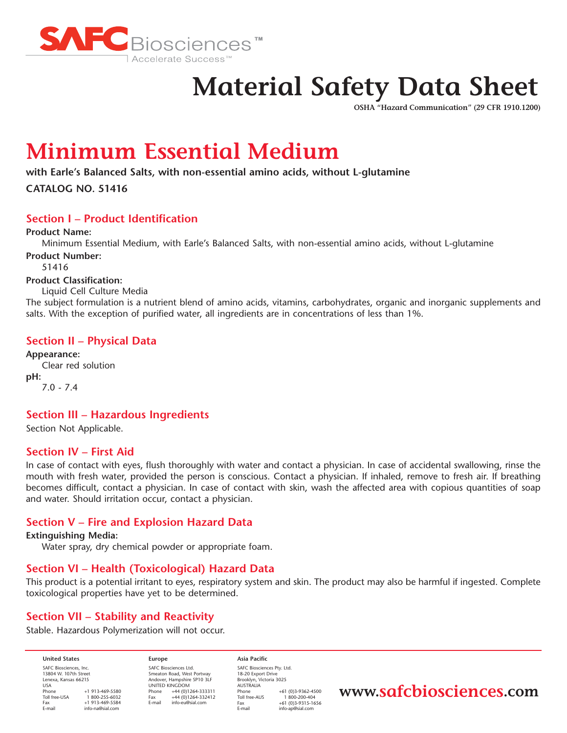

# **Material Safety Data Sheet**

**OSHA "Hazard Communication" (29 CFR 1910.1200)**

# **Minimum Essential Medium**

**with Earle's Balanced Salts, with non-essential amino acids, without L-glutamine**

**CATALOG NO. 51416**

# **Section I – Product Identification**

**Product Name:**

Minimum Essential Medium, with Earle's Balanced Salts, with non-essential amino acids, without L-glutamine

**Product Number:** 51416

# **Product Classification:**

Liquid Cell Culture Media

The subject formulation is a nutrient blend of amino acids, vitamins, carbohydrates, organic and inorganic supplements and salts. With the exception of purified water, all ingredients are in concentrations of less than 1%.

# **Section II – Physical Data**

**Appearance:**  Clear red solution **pH:**  7.0 - 7.4

# **Section III – Hazardous Ingredients**

Section Not Applicable.

### **Section IV – First Aid**

In case of contact with eyes, flush thoroughly with water and contact a physician. In case of accidental swallowing, rinse the mouth with fresh water, provided the person is conscious. Contact a physician. If inhaled, remove to fresh air. If breathing becomes difficult, contact a physician. In case of contact with skin, wash the affected area with copious quantities of soap and water. Should irritation occur, contact a physician.

# **Section V – Fire and Explosion Hazard Data**

#### **Extinguishing Media:**

Water spray, dry chemical powder or appropriate foam.

# **Section VI – Health (Toxicological) Hazard Data**

This product is a potential irritant to eyes, respiratory system and skin. The product may also be harmful if ingested. Complete toxicological properties have yet to be determined.

# **Section VII – Stability and Reactivity**

Stable. Hazardous Polymerization will not occur.

**United States** SAFC Biosciences, Inc. 13804 W. 107th Street Lenexa, Kansas 66215 USA<br>Phone Phone +1 913-469-5580<br>Toll free-USA 1 800-255-6032 Toll free-USA 1800-255-6032<br>Eax +1 913-469-5584 Fax +1 913-469-5584<br>E-mail info-na@sial.com info-na@sial.com

**Europe** SAFC Biosciences Ltd. Smeaton Road, West Portway Andover, Hampshire SP10 3LF UNITED KINGDOM Phone  $+44 (0)1264-333311$ <br>Fax  $+44 (0)1264-332412$  $\begin{array}{r}\n\text{Fax} \\
\text{Final} \\
\text{info-eu@cial com}\n\end{array}$ E-mail info-eu@sial.com

**Asia Pacific** SAFC Biosciences Pty. Ltd. 18-20 Export Drive Brooklyn, Victoria 3025 AUSTRALIA Phone +61 (0)3-9362-4500<br>Toll free-AUS 1 800-200-404 Toll free-AUS 1 800-200-404<br>Eax +61 (0)3-9315-16 Fax +61 (0)3-9315-1656 info-ap@sial.com

**www.safcbiosciences.com**